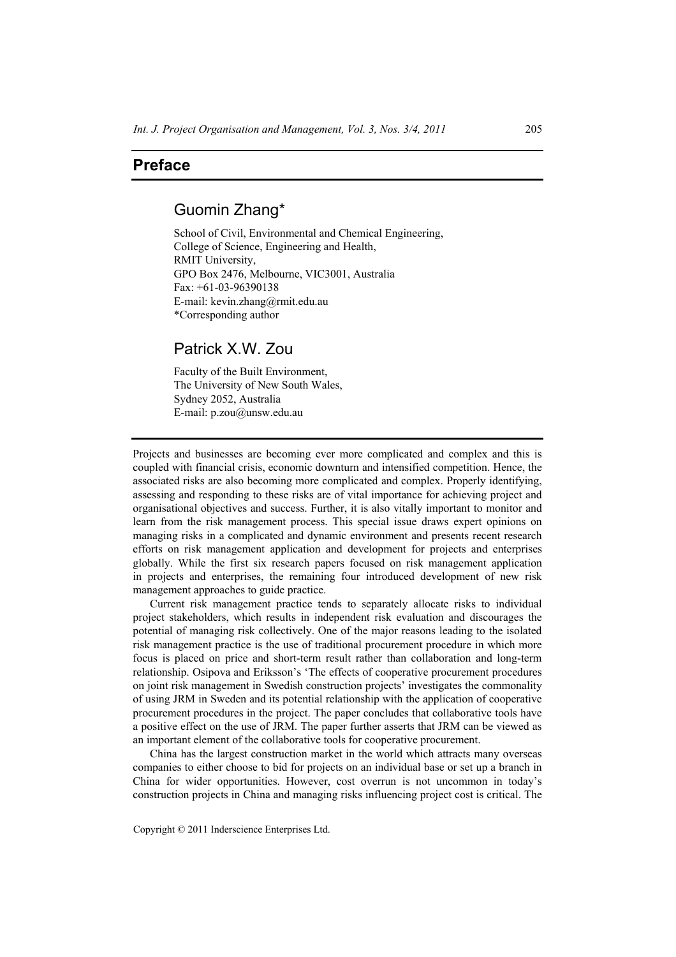# **Preface**

## Guomin Zhang\*

School of Civil, Environmental and Chemical Engineering, College of Science, Engineering and Health, RMIT University, GPO Box 2476, Melbourne, VIC3001, Australia Fax: +61-03-96390138 E-mail: kevin.zhang@rmit.edu.au \*Corresponding author

## Patrick X.W. Zou

Faculty of the Built Environment, The University of New South Wales, Sydney 2052, Australia E-mail: p.zou@unsw.edu.au

Projects and businesses are becoming ever more complicated and complex and this is coupled with financial crisis, economic downturn and intensified competition. Hence, the associated risks are also becoming more complicated and complex. Properly identifying, assessing and responding to these risks are of vital importance for achieving project and organisational objectives and success. Further, it is also vitally important to monitor and learn from the risk management process. This special issue draws expert opinions on managing risks in a complicated and dynamic environment and presents recent research efforts on risk management application and development for projects and enterprises globally. While the first six research papers focused on risk management application in projects and enterprises, the remaining four introduced development of new risk management approaches to guide practice.

Current risk management practice tends to separately allocate risks to individual project stakeholders, which results in independent risk evaluation and discourages the potential of managing risk collectively. One of the major reasons leading to the isolated risk management practice is the use of traditional procurement procedure in which more focus is placed on price and short-term result rather than collaboration and long-term relationship. Osipova and Eriksson's 'The effects of cooperative procurement procedures on joint risk management in Swedish construction projects' investigates the commonality of using JRM in Sweden and its potential relationship with the application of cooperative procurement procedures in the project. The paper concludes that collaborative tools have a positive effect on the use of JRM. The paper further asserts that JRM can be viewed as an important element of the collaborative tools for cooperative procurement.

China has the largest construction market in the world which attracts many overseas companies to either choose to bid for projects on an individual base or set up a branch in China for wider opportunities. However, cost overrun is not uncommon in today's construction projects in China and managing risks influencing project cost is critical. The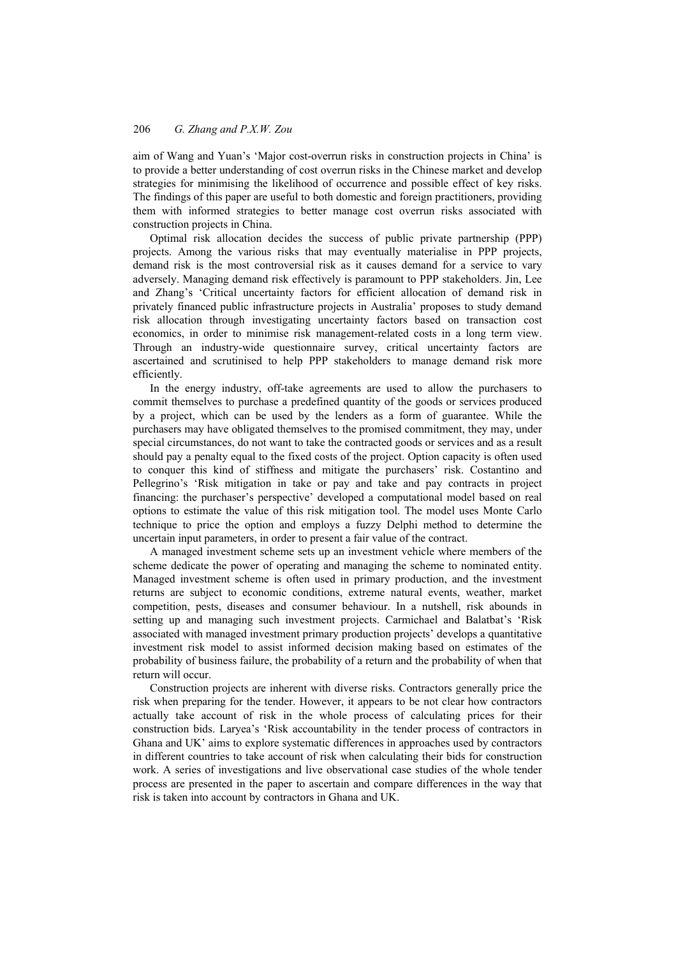#### 206 *G. Zhang and P.X.W. Zou*

aim of Wang and Yuan's 'Major cost-overrun risks in construction projects in China' is to provide a better understanding of cost overrun risks in the Chinese market and develop strategies for minimising the likelihood of occurrence and possible effect of key risks. The findings of this paper are useful to both domestic and foreign practitioners, providing them with informed strategies to better manage cost overrun risks associated with construction projects in China.

Optimal risk allocation decides the success of public private partnership (PPP) projects. Among the various risks that may eventually materialise in PPP projects, demand risk is the most controversial risk as it causes demand for a service to vary adversely. Managing demand risk effectively is paramount to PPP stakeholders. Jin, Lee and Zhang's 'Critical uncertainty factors for efficient allocation of demand risk in privately financed public infrastructure projects in Australia' proposes to study demand risk allocation through investigating uncertainty factors based on transaction cost economics, in order to minimise risk management-related costs in a long term view. Through an industry-wide questionnaire survey, critical uncertainty factors are ascertained and scrutinised to help PPP stakeholders to manage demand risk more efficiently.

In the energy industry, off-take agreements are used to allow the purchasers to commit themselves to purchase a predefined quantity of the goods or services produced by a project, which can be used by the lenders as a form of guarantee. While the purchasers may have obligated themselves to the promised commitment, they may, under special circumstances, do not want to take the contracted goods or services and as a result should pay a penalty equal to the fixed costs of the project. Option capacity is often used to conquer this kind of stiffness and mitigate the purchasers' risk. Costantino and Pellegrino's 'Risk mitigation in take or pay and take and pay contracts in project financing: the purchaser's perspective' developed a computational model based on real options to estimate the value of this risk mitigation tool. The model uses Monte Carlo technique to price the option and employs a fuzzy Delphi method to determine the uncertain input parameters, in order to present a fair value of the contract.

A managed investment scheme sets up an investment vehicle where members of the scheme dedicate the power of operating and managing the scheme to nominated entity. Managed investment scheme is often used in primary production, and the investment returns are subject to economic conditions, extreme natural events, weather, market competition, pests, diseases and consumer behaviour. In a nutshell, risk abounds in setting up and managing such investment projects. Carmichael and Balatbat's 'Risk associated with managed investment primary production projects' develops a quantitative investment risk model to assist informed decision making based on estimates of the probability of business failure, the probability of a return and the probability of when that return will occur.

Construction projects are inherent with diverse risks. Contractors generally price the risk when preparing for the tender. However, it appears to be not clear how contractors actually take account of risk in the whole process of calculating prices for their construction bids. Laryea's 'Risk accountability in the tender process of contractors in Ghana and UK' aims to explore systematic differences in approaches used by contractors in different countries to take account of risk when calculating their bids for construction work. A series of investigations and live observational case studies of the whole tender process are presented in the paper to ascertain and compare differences in the way that risk is taken into account by contractors in Ghana and UK.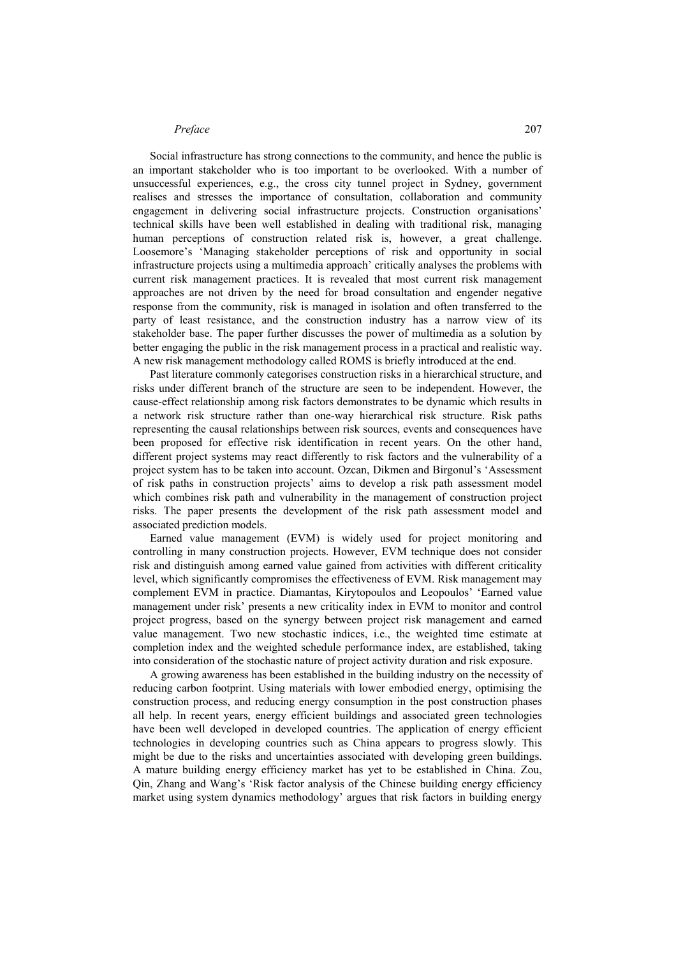#### *Preface* 207

Social infrastructure has strong connections to the community, and hence the public is an important stakeholder who is too important to be overlooked. With a number of unsuccessful experiences, e.g., the cross city tunnel project in Sydney, government realises and stresses the importance of consultation, collaboration and community engagement in delivering social infrastructure projects. Construction organisations' technical skills have been well established in dealing with traditional risk, managing human perceptions of construction related risk is, however, a great challenge. Loosemore's 'Managing stakeholder perceptions of risk and opportunity in social infrastructure projects using a multimedia approach' critically analyses the problems with current risk management practices. It is revealed that most current risk management approaches are not driven by the need for broad consultation and engender negative response from the community, risk is managed in isolation and often transferred to the party of least resistance, and the construction industry has a narrow view of its stakeholder base. The paper further discusses the power of multimedia as a solution by better engaging the public in the risk management process in a practical and realistic way. A new risk management methodology called ROMS is briefly introduced at the end.

Past literature commonly categorises construction risks in a hierarchical structure, and risks under different branch of the structure are seen to be independent. However, the cause-effect relationship among risk factors demonstrates to be dynamic which results in a network risk structure rather than one-way hierarchical risk structure. Risk paths representing the causal relationships between risk sources, events and consequences have been proposed for effective risk identification in recent years. On the other hand, different project systems may react differently to risk factors and the vulnerability of a project system has to be taken into account. Ozcan, Dikmen and Birgonul's 'Assessment of risk paths in construction projects' aims to develop a risk path assessment model which combines risk path and vulnerability in the management of construction project risks. The paper presents the development of the risk path assessment model and associated prediction models.

Earned value management (EVM) is widely used for project monitoring and controlling in many construction projects. However, EVM technique does not consider risk and distinguish among earned value gained from activities with different criticality level, which significantly compromises the effectiveness of EVM. Risk management may complement EVM in practice. Diamantas, Kirytopoulos and Leopoulos' 'Earned value management under risk' presents a new criticality index in EVM to monitor and control project progress, based on the synergy between project risk management and earned value management. Two new stochastic indices, i.e., the weighted time estimate at completion index and the weighted schedule performance index, are established, taking into consideration of the stochastic nature of project activity duration and risk exposure.

A growing awareness has been established in the building industry on the necessity of reducing carbon footprint. Using materials with lower embodied energy, optimising the construction process, and reducing energy consumption in the post construction phases all help. In recent years, energy efficient buildings and associated green technologies have been well developed in developed countries. The application of energy efficient technologies in developing countries such as China appears to progress slowly. This might be due to the risks and uncertainties associated with developing green buildings. A mature building energy efficiency market has yet to be established in China. Zou, Qin, Zhang and Wang's 'Risk factor analysis of the Chinese building energy efficiency market using system dynamics methodology' argues that risk factors in building energy